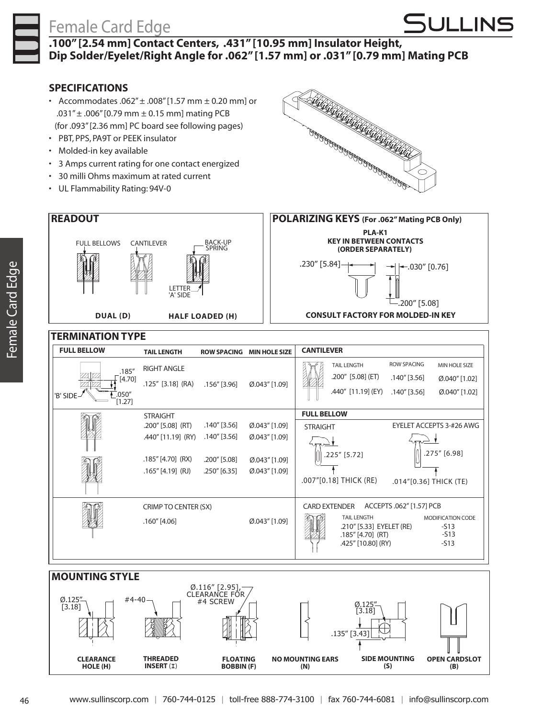## Female Card Edge



#### **.100" [2.54 mm] Contact Centers, .431" [10.95 mm] Insulator Height, Dip Solder/Eyelet/Right Angle for .062" [1.57 mm] or .031" [0.79 mm] Mating PCB**

#### **SPECIFICATIONS**

- Accommodates .062" $\pm$  .008"[1.57 mm  $\pm$  0.20 mm] or .031"± .006"[0.79 mm ± 0.15 mm] mating PCB (for .093"[2.36 mm] PC board see following pages)
- • PBT, PPS, PA9T or PEEK insulator
- • Molded-in key available
- • 3 Amps current rating for one contact energized
- • 30 milli Ohms maximum at rated current
- • UL Flammability Rating: 94V-0





| <b>FULL BELLOW</b> |                  | <b>TAIL LENGTH</b>   | <b>ROW SPACING</b> | <b>MIN HOLE SIZE</b> | <b>CANTILEVER</b>                                |                                                                                              |                                        |                                                        |  |  |
|--------------------|------------------|----------------------|--------------------|----------------------|--------------------------------------------------|----------------------------------------------------------------------------------------------|----------------------------------------|--------------------------------------------------------|--|--|
|                    | .185''           | <b>RIGHT ANGLE</b>   | $.156''$ [3.96]    | $[0.043"$ [1.09]     |                                                  | <b>TAIL LENGTH</b>                                                                           | <b>ROW SPACING</b>                     | <b>MIN HOLE SIZE</b>                                   |  |  |
|                    | [4.70]           | $.125''$ [3.18] (RA) |                    |                      |                                                  | .200" [5.08] (ET)                                                                            | $.140''$ [3.56]                        | $\emptyset$ .040" [1.02]                               |  |  |
| 'B' SIDE-          | .050''<br>[1.27] |                      |                    |                      |                                                  | .440" [11.19] (EY)                                                                           | $.140''$ [3.56]                        | $\emptyset$ .040" [1.02]                               |  |  |
|                    |                  | <b>STRAIGHT</b>      |                    |                      | <b>FULL BELLOW</b>                               |                                                                                              |                                        |                                                        |  |  |
|                    |                  | .200" [5.08] (RT)    | $.140''$ [3.56]    | $[0.043"$ [1.09]     | <b>STRAIGHT</b>                                  |                                                                                              | EYELET ACCEPTS 3-#26 AWG               |                                                        |  |  |
|                    |                  | .440" [11.19] (RY)   | .140″ [3.56]       | $[0.043"$ [1.09]     |                                                  |                                                                                              |                                        |                                                        |  |  |
|                    |                  | .185" [4.70] (RX)    | .200" [5.08]       | $[0.043"$ [1.09]     |                                                  | .225" [5.72]                                                                                 | .275" [6.98]<br>.014"[0.36] THICK (TE) |                                                        |  |  |
|                    |                  | $.165''$ [4.19] (RJ) | .250" [6.35]       | $[0.043"$ [1.09]     |                                                  |                                                                                              |                                        |                                                        |  |  |
|                    |                  |                      |                    |                      |                                                  | .007"[0.18] THICK (RE)                                                                       |                                        |                                                        |  |  |
|                    |                  | CRIMP TO CENTER (SX) |                    |                      | ACCEPTS .062" [1.57] PCB<br><b>CARD EXTENDER</b> |                                                                                              |                                        |                                                        |  |  |
|                    |                  | .160" [4.06]         |                    | Ø.043" [1.09]        |                                                  | <b>TAIL LENGTH</b><br>.210" [5.33] EYELET (RE)<br>$.185''$ [4.70] (RT)<br>.425" [10.80] (RY) |                                        | <b>MODIFICATION CODE</b><br>$-513$<br>$-513$<br>$-S13$ |  |  |